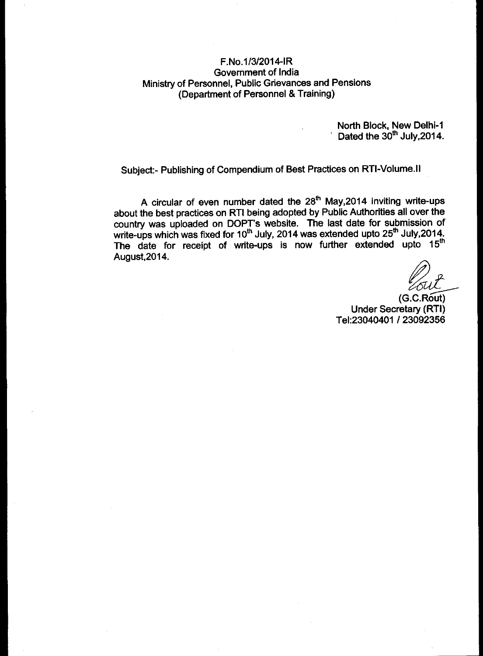## F.No.1/3/2014-IR Government of India Ministry of Personnel, Public Grievances and Pensions (Department of Personnel & Training)

North Block, New Delhi-1 Dated the  $30<sup>th</sup>$  July, 2014.

Subject:- Publishing of Compendium of Best Practices on RTI-Volume.II

A circular of even number dated the 28<sup>th</sup> May,2014 inviting write-ups about the best practices on RTI being adopted by Public Authorities all over the country was uploaded on DOPT's website. The last date for submission of write-ups which was fixed for 10<sup>th</sup> July, 2014 was extended upto 25<sup>th</sup> July,2014. The date for receipt of write-ups is now further extended upto 15<sup>th</sup><br>August, 2014.

(G.C.Rout) Under Secretary (RTI) Te1:23040401 / 23092356